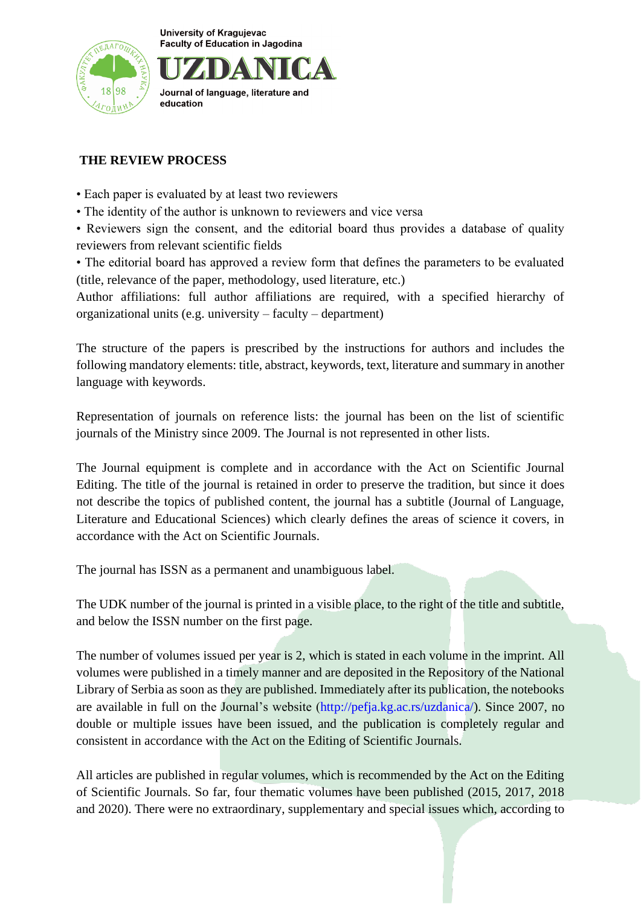

Journal of language, literature and education

# **THE REVIEW PROCESS**

- Each paper is evaluated by at least two reviewers
- The identity of the author is unknown to reviewers and vice versa

• Reviewers sign the consent, and the editorial board thus provides a database of quality reviewers from relevant scientific fields

• The editorial board has approved a review form that defines the parameters to be evaluated (title, relevance of the paper, methodology, used literature, etc.)

Author affiliations: full author affiliations are required, with a specified hierarchy of organizational units (e.g. university – faculty – department)

The structure of the papers is prescribed by the instructions for authors and includes the following mandatory elements: title, abstract, keywords, text, literature and summary in another language with keywords.

Representation of journals on reference lists: the journal has been on the list of scientific journals of the Ministry since 2009. The Journal is not represented in other lists.

The Journal equipment is complete and in accordance with the Act on Scientific Journal Editing. The title of the journal is retained in order to preserve the tradition, but since it does not describe the topics of published content, the journal has a subtitle (Journal of Language, Literature and Educational Sciences) which clearly defines the areas of science it covers, in accordance with the Act on Scientific Journals.

The journal has ISSN as a permanent and unambiguous label.

The UDK number of the journal is printed in a visible place, to the right of the title and subtitle, and below the ISSN number on the first page.

The number of volumes issued per year is 2, which is stated in each volume in the imprint. All volumes were published in a timely manner and are deposited in the Repository of the National Library of Serbia as soon as they are published. Immediately after its publication, the notebooks are available in full on the Journal's website (http://pefja.kg.ac.rs/uzdanica/). Since 2007, no double or multiple issues have been issued, and the publication is completely regular and consistent in accordance with the Act on the Editing of Scientific Journals.

All articles are published in regular volumes, which is recommended by the Act on the Editing of Scientific Journals. So far, four thematic volumes have been published (2015, 2017, 2018 and 2020). There were no extraordinary, supplementary and special issues which, according to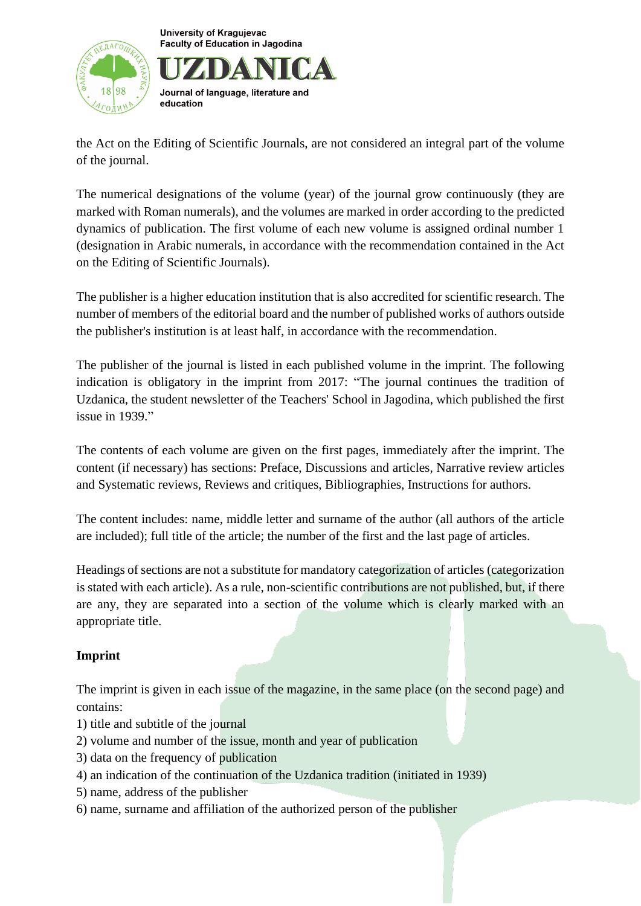



the Act on the Editing of Scientific Journals, are not considered an integral part of the volume of the journal.

The numerical designations of the volume (year) of the journal grow continuously (they are marked with Roman numerals), and the volumes are marked in order according to the predicted dynamics of publication. The first volume of each new volume is assigned ordinal number 1 (designation in Arabic numerals, in accordance with the recommendation contained in the Act on the Editing of Scientific Journals).

The publisher is a higher education institution that is also accredited for scientific research. The number of members of the editorial board and the number of published works of authors outside the publisher's institution is at least half, in accordance with the recommendation.

The publisher of the journal is listed in each published volume in the imprint. The following indication is obligatory in the imprint from 2017: "The journal continues the tradition of Uzdanica, the student newsletter of the Teachers' School in Jagodina, which published the first issue in 1939."

The contents of each volume are given on the first pages, immediately after the imprint. The content (if necessary) has sections: Preface, Discussions and articles, Narrative review articles and Systematic reviews, Reviews and critiques, Bibliographies, Instructions for authors.

The content includes: name, middle letter and surname of the author (all authors of the article are included); full title of the article; the number of the first and the last page of articles.

Headings of sections are not a substitute for mandatory categorization of articles (categorization is stated with each article). As a rule, non-scientific contributions are not published, but, if there are any, they are separated into a section of the volume which is clearly marked with an appropriate title.

## **Imprint**

The imprint is given in each issue of the magazine, in the same place (on the second page) and contains:

- 1) title and subtitle of the journal
- 2) volume and number of the issue, month and year of publication
- 3) data on the frequency of publication
- 4) an indication of the continuation of the Uzdanica tradition (initiated in 1939)
- 5) name, address of the publisher
- 6) name, surname and affiliation of the authorized person of the publisher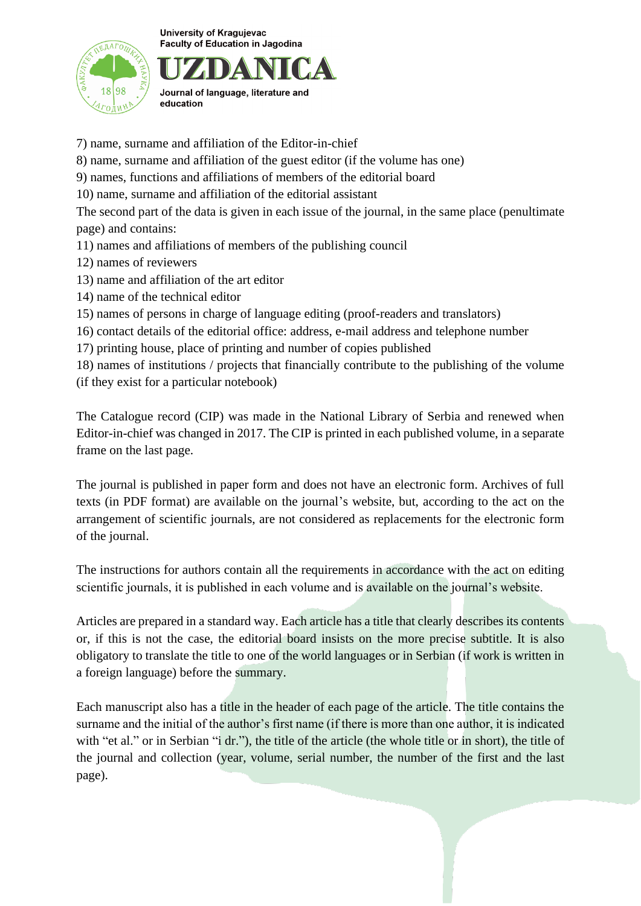

Journal of language, literature and education

- 7) name, surname and affiliation of the Editor-in-chief
- 8) name, surname and affiliation of the guest editor (if the volume has one)
- 9) names, functions and affiliations of members of the editorial board
- 10) name, surname and affiliation of the editorial assistant

The second part of the data is given in each issue of the journal, in the same place (penultimate page) and contains:

- 11) names and affiliations of members of the publishing council
- 12) names of reviewers
- 13) name and affiliation of the art editor
- 14) name of the technical editor
- 15) names of persons in charge of language editing (proof-readers and translators)
- 16) contact details of the editorial office: address, e-mail address and telephone number
- 17) printing house, place of printing and number of copies published

18) names of institutions / projects that financially contribute to the publishing of the volume (if they exist for a particular notebook)

The Catalogue record (CIP) was made in the National Library of Serbia and renewed when Editor-in-chief was changed in 2017. The CIP is printed in each published volume, in a separate frame on the last page.

The journal is published in paper form and does not have an electronic form. Archives of full texts (in PDF format) are available on the journal's website, but, according to the act on the arrangement of scientific journals, are not considered as replacements for the electronic form of the journal.

The instructions for authors contain all the requirements in accordance with the act on editing scientific journals, it is published in each volume and is available on the journal's website.

Articles are prepared in a standard way. Each article has a title that clearly describes its contents or, if this is not the case, the editorial board insists on the more precise subtitle. It is also obligatory to translate the title to one of the world languages or in Serbian (if work is written in a foreign language) before the summary.

Each manuscript also has a title in the header of each page of the article. The title contains the surname and the initial of the author's first name (if there is more than one author, it is indicated with "et al." or in Serbian "i dr."), the title of the article (the whole title or in short), the title of the journal and collection (year, volume, serial number, the number of the first and the last page).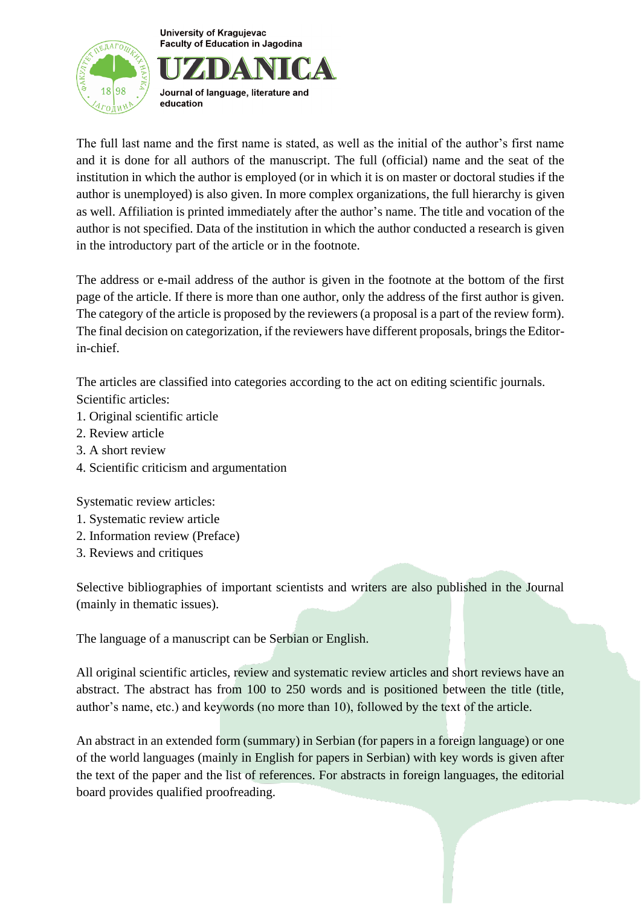



The full last name and the first name is stated, as well as the initial of the author's first name and it is done for all authors of the manuscript. The full (official) name and the seat of the institution in which the author is employed (or in which it is on master or doctoral studies if the author is unemployed) is also given. In more complex organizations, the full hierarchy is given as well. Affiliation is printed immediately after the author's name. The title and vocation of the author is not specified. Data of the institution in which the author conducted a research is given in the introductory part of the article or in the footnote.

The address or e-mail address of the author is given in the footnote at the bottom of the first page of the article. If there is more than one author, only the address of the first author is given. The category of the article is proposed by the reviewers (a proposal is a part of the review form). The final decision on categorization, if the reviewers have different proposals, brings the Editorin-chief.

The articles are classified into categories according to the act on editing scientific journals. Scientific articles:

- 1. Original scientific article
- 2. Review article
- 3. A short review
- 4. Scientific criticism and argumentation

Systematic review articles:

- 1. Systematic review article
- 2. Information review (Preface)
- 3. Reviews and critiques

Selective bibliographies of important scientists and writers are also published in the Journal (mainly in thematic issues).

The language of a manuscript can be Serbian or English.

All original scientific articles, review and systematic review articles and short reviews have an abstract. The abstract has from 100 to 250 words and is positioned between the title (title, author's name, etc.) and keywords (no more than 10), followed by the text of the article.

An abstract in an extended form (summary) in Serbian (for papers in a foreign language) or one of the world languages (mainly in English for papers in Serbian) with key words is given after the text of the paper and the list of references. For abstracts in foreign languages, the editorial board provides qualified proofreading.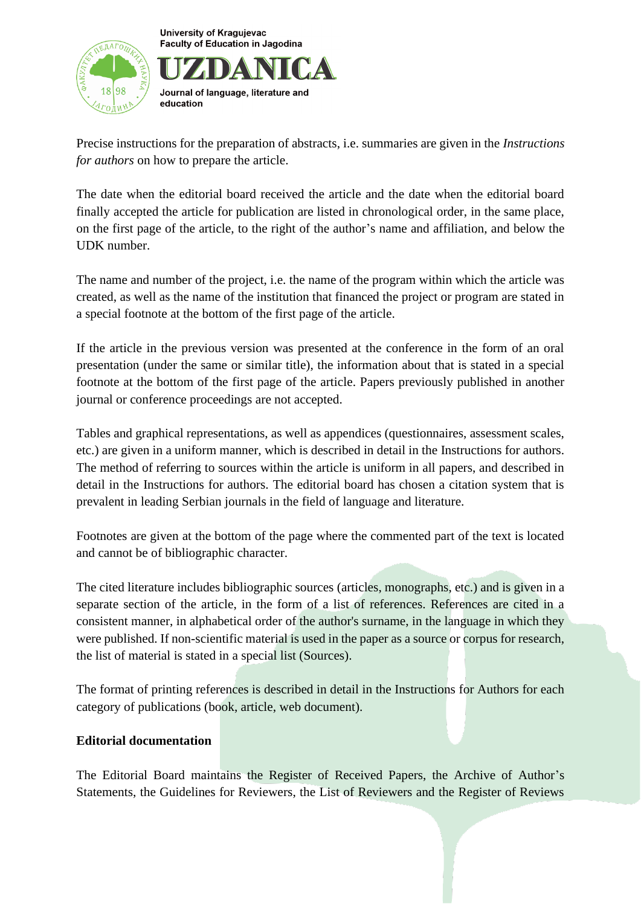

Journal of language, literature and education

Precise instructions for the preparation of abstracts, i.e. summaries are given in the *Instructions for authors* on how to prepare the article.

The date when the editorial board received the article and the date when the editorial board finally accepted the article for publication are listed in chronological order, in the same place, on the first page of the article, to the right of the author's name and affiliation, and below the UDK number.

The name and number of the project, i.e. the name of the program within which the article was created, as well as the name of the institution that financed the project or program are stated in a special footnote at the bottom of the first page of the article.

If the article in the previous version was presented at the conference in the form of an oral presentation (under the same or similar title), the information about that is stated in a special footnote at the bottom of the first page of the article. Papers previously published in another journal or conference proceedings are not accepted.

Tables and graphical representations, as well as appendices (questionnaires, assessment scales, etc.) are given in a uniform manner, which is described in detail in the Instructions for authors. The method of referring to sources within the article is uniform in all papers, and described in detail in the Instructions for authors. The editorial board has chosen a citation system that is prevalent in leading Serbian journals in the field of language and literature.

Footnotes are given at the bottom of the page where the commented part of the text is located and cannot be of bibliographic character.

The cited literature includes bibliographic sources (articles, monographs, etc.) and is given in a separate section of the article, in the form of a list of references. References are cited in a consistent manner, in alphabetical order of the author's surname, in the language in which they were published. If non-scientific material is used in the paper as a source or corpus for research, the list of material is stated in a special list (Sources).

The format of printing references is described in detail in the Instructions for Authors for each category of publications (book, article, web document).

## **Editorial documentation**

The Editorial Board maintains the Register of Received Papers, the Archive of Author's Statements, the Guidelines for Reviewers, the List of Reviewers and the Register of Reviews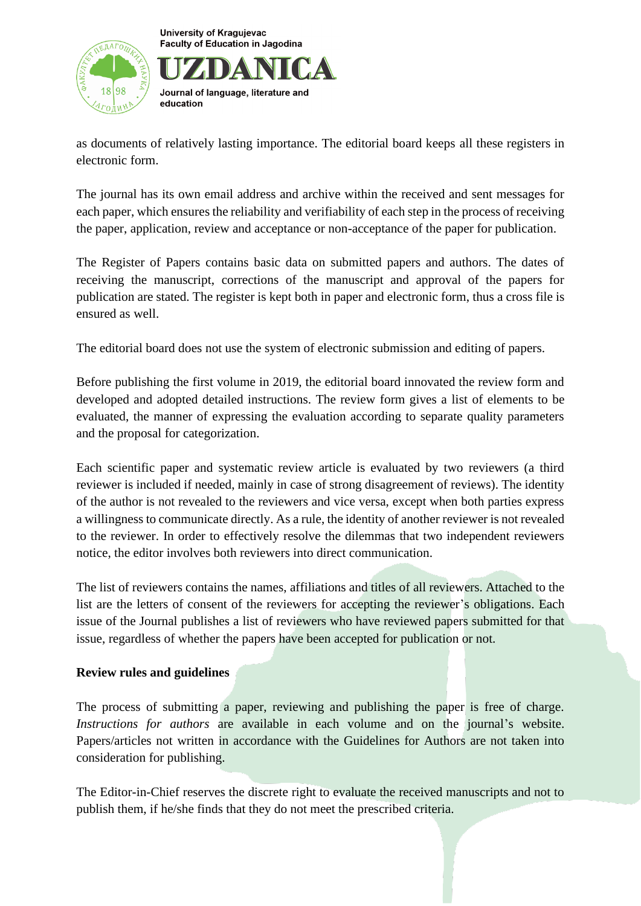

Journal of language, literature and education

as documents of relatively lasting importance. The editorial board keeps all these registers in electronic form.

The journal has its own email address and archive within the received and sent messages for each paper, which ensures the reliability and verifiability of each step in the process of receiving the paper, application, review and acceptance or non-acceptance of the paper for publication.

The Register of Papers contains basic data on submitted papers and authors. The dates of receiving the manuscript, corrections of the manuscript and approval of the papers for publication are stated. The register is kept both in paper and electronic form, thus a cross file is ensured as well.

The editorial board does not use the system of electronic submission and editing of papers.

Before publishing the first volume in 2019, the editorial board innovated the review form and developed and adopted detailed instructions. The review form gives a list of elements to be evaluated, the manner of expressing the evaluation according to separate quality parameters and the proposal for categorization.

Each scientific paper and systematic review article is evaluated by two reviewers (a third reviewer is included if needed, mainly in case of strong disagreement of reviews). The identity of the author is not revealed to the reviewers and vice versa, except when both parties express a willingness to communicate directly. As a rule, the identity of another reviewer is not revealed to the reviewer. In order to effectively resolve the dilemmas that two independent reviewers notice, the editor involves both reviewers into direct communication.

The list of reviewers contains the names, affiliations and titles of all reviewers. Attached to the list are the letters of consent of the reviewers for accepting the reviewer's obligations. Each issue of the Journal publishes a list of reviewers who have reviewed papers submitted for that issue, regardless of whether the papers have been accepted for publication or not.

### **Review rules and guidelines**

The process of submitting a paper, reviewing and publishing the paper is free of charge. *Instructions for authors* are available in each volume and on the journal's website. Papers/articles not written in accordance with the Guidelines for Authors are not taken into consideration for publishing.

The Editor-in-Chief reserves the discrete right to evaluate the received manuscripts and not to publish them, if he/she finds that they do not meet the prescribed criteria.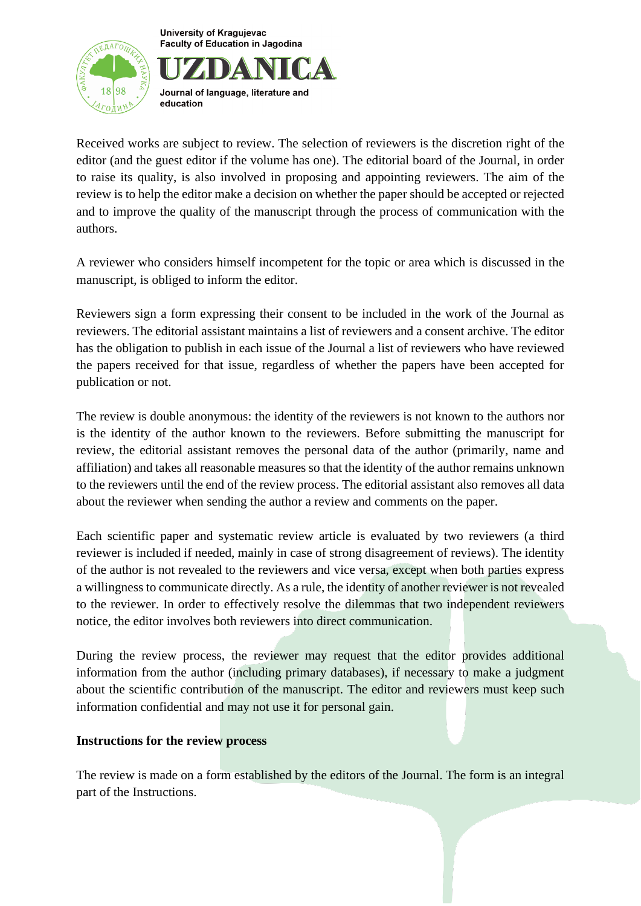



Received works are subject to review. The selection of reviewers is the discretion right of the editor (and the guest editor if the volume has one). The editorial board of the Journal, in order to raise its quality, is also involved in proposing and appointing reviewers. The aim of the review is to help the editor make a decision on whether the paper should be accepted or rejected and to improve the quality of the manuscript through the process of communication with the authors.

A reviewer who considers himself incompetent for the topic or area which is discussed in the manuscript, is obliged to inform the editor.

Reviewers sign a form expressing their consent to be included in the work of the Journal as reviewers. The editorial assistant maintains a list of reviewers and a consent archive. The editor has the obligation to publish in each issue of the Journal a list of reviewers who have reviewed the papers received for that issue, regardless of whether the papers have been accepted for publication or not.

The review is double anonymous: the identity of the reviewers is not known to the authors nor is the identity of the author known to the reviewers. Before submitting the manuscript for review, the editorial assistant removes the personal data of the author (primarily, name and affiliation) and takes all reasonable measures so that the identity of the author remains unknown to the reviewers until the end of the review process. The editorial assistant also removes all data about the reviewer when sending the author a review and comments on the paper.

Each scientific paper and systematic review article is evaluated by two reviewers (a third reviewer is included if needed, mainly in case of strong disagreement of reviews). The identity of the author is not revealed to the reviewers and vice versa, except when both parties express a willingness to communicate directly. As a rule, the identity of another reviewer is not revealed to the reviewer. In order to effectively resolve the dilemmas that two independent reviewers notice, the editor involves both reviewers into direct communication.

During the review process, the reviewer may request that the editor provides additional information from the author (including primary databases), if necessary to make a judgment about the scientific contribution of the manuscript. The editor and reviewers must keep such information confidential and may not use it for personal gain.

### **Instructions for the review process**

The review is made on a form established by the editors of the Journal. The form is an integral part of the Instructions.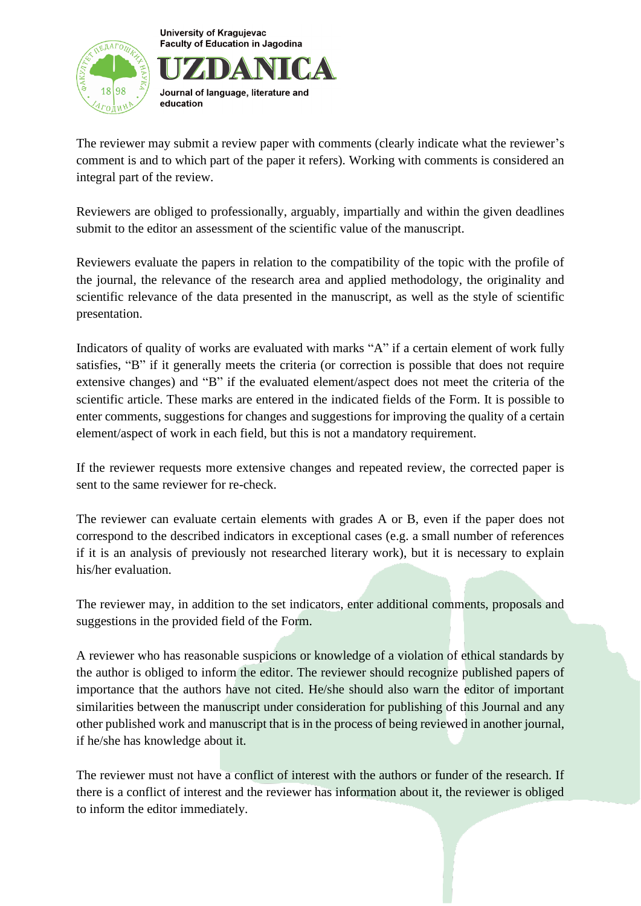

Journal of language, literature and education

The reviewer may submit a review paper with comments (clearly indicate what the reviewer's comment is and to which part of the paper it refers). Working with comments is considered an integral part of the review.

Reviewers are obliged to professionally, arguably, impartially and within the given deadlines submit to the editor an assessment of the scientific value of the manuscript.

Reviewers evaluate the papers in relation to the compatibility of the topic with the profile of the journal, the relevance of the research area and applied methodology, the originality and scientific relevance of the data presented in the manuscript, as well as the style of scientific presentation.

Indicators of quality of works are evaluated with marks "A" if a certain element of work fully satisfies, "B" if it generally meets the criteria (or correction is possible that does not require extensive changes) and "B" if the evaluated element/aspect does not meet the criteria of the scientific article. These marks are entered in the indicated fields of the Form. It is possible to enter comments, suggestions for changes and suggestions for improving the quality of a certain element/aspect of work in each field, but this is not a mandatory requirement.

If the reviewer requests more extensive changes and repeated review, the corrected paper is sent to the same reviewer for re-check.

The reviewer can evaluate certain elements with grades A or B, even if the paper does not correspond to the described indicators in exceptional cases (e.g. a small number of references if it is an analysis of previously not researched literary work), but it is necessary to explain his/her evaluation.

The reviewer may, in addition to the set indicators, enter additional comments, proposals and suggestions in the provided field of the Form.

A reviewer who has reasonable suspicions or knowledge of a violation of ethical standards by the author is obliged to inform the editor. The reviewer should recognize published papers of importance that the authors have not cited. He/she should also warn the editor of important similarities between the manuscript under consideration for publishing of this Journal and any other published work and manuscript that is in the process of being reviewed in another journal, if he/she has knowledge about it.

The reviewer must not have a conflict of interest with the authors or funder of the research. If there is a conflict of interest and the reviewer has information about it, the reviewer is obliged to inform the editor immediately.